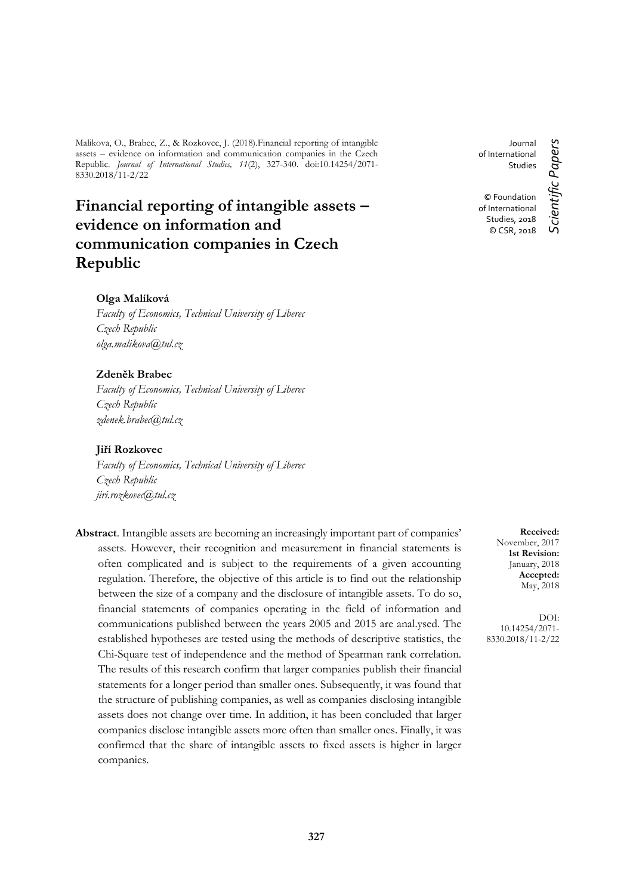Malikova, O., Brabec, Z., & Rozkovec, J. (2018).Financial reporting of intangible assets – evidence on information and communication companies in the Czech Republic. *Journal of International Studies, 11*(2), 327-340. doi:10.14254/2071- 8330.2018/11-2/22

# **Financial reporting of intangible assets – evidence on information and communication companies in Czech Republic**

# **Olga Malíková**

*Faculty of Economics, Technical University of Liberec Czech Republic olga.malikova@tul.cz*

## **Zdeněk Brabec**

*Faculty of Economics, Technical University of Liberec Czech Republic zdenek.brabec@tul.cz*

#### **Jiří Rozkovec**

*Faculty of Economics, Technical University of Liberec Czech Republic jiri.rozkovec@tul.cz*

**Abstract**. Intangible assets are becoming an increasingly important part of companies' assets. However, their recognition and measurement in financial statements is often complicated and is subject to the requirements of a given accounting regulation. Therefore, the objective of this article is to find out the relationship between the size of a company and the disclosure of intangible assets. To do so, financial statements of companies operating in the field of information and communications published between the years 2005 and 2015 are anal.ysed. The established hypotheses are tested using the methods of descriptive statistics, the Chi-Square test of independence and the method of Spearman rank correlation. The results of this research confirm that larger companies publish their financial statements for a longer period than smaller ones. Subsequently, it was found that the structure of publishing companies, as well as companies disclosing intangible assets does not change over time. In addition, it has been concluded that larger companies disclose intangible assets more often than smaller ones. Finally, it was confirmed that the share of intangible assets to fixed assets is higher in larger companies.

Journal of International Studies

© Foundation of International Studies, 2018 © CSR, 2018

**Received:** November, 2017 **1st Revision:** January, 2018 **Accepted:** May, 2018

DOI: 10.14254/2071- 8330.2018/11-2/22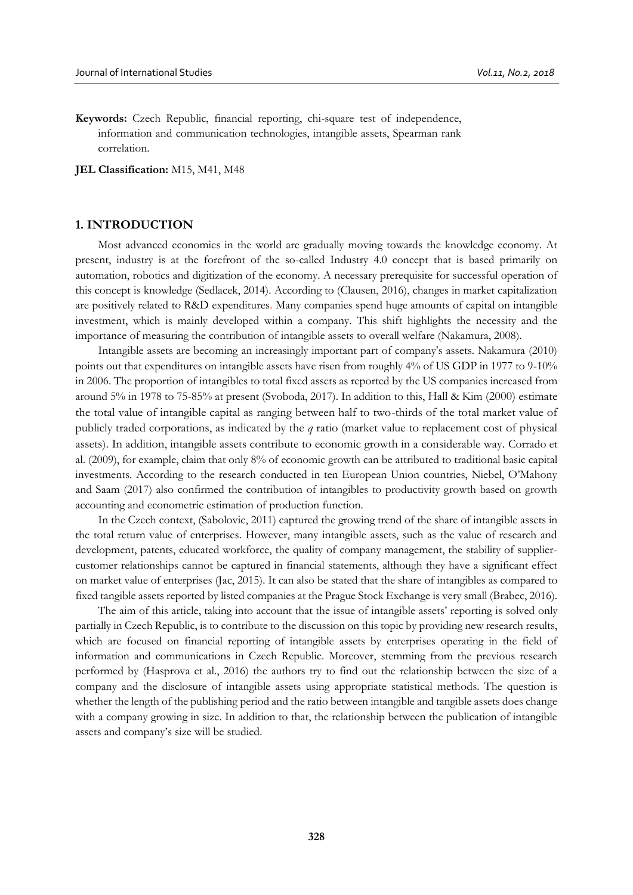**Keywords:** Czech Republic, financial reporting, chi-square test of independence, information and communication technologies, intangible assets, Spearman rank correlation.

**JEL Classification:** M15, M41, M48

## **1. INTRODUCTION**

Most advanced economies in the world are gradually moving towards the knowledge economy. At present, industry is at the forefront of the so-called Industry 4.0 concept that is based primarily on automation, robotics and digitization of the economy. A necessary prerequisite for successful operation of this concept is knowledge (Sedlacek, 2014). According to (Clausen, 2016), changes in market capitalization are positively related to R&D expenditures. Many companies spend huge amounts of capital on intangible investment, which is mainly developed within a company. This shift highlights the necessity and the importance of measuring the contribution of intangible assets to overall welfare (Nakamura, 2008).

Intangible assets are becoming an increasingly important part of company's assets. Nakamura (2010) points out that expenditures on intangible assets have risen from roughly 4% of US GDP in 1977 to 9-10% in 2006. The proportion of intangibles to total fixed assets as reported by the US companies increased from around 5% in 1978 to 75-85% at present (Svoboda, 2017). In addition to this, Hall & Kim (2000) estimate the total value of intangible capital as ranging between half to two-thirds of the total market value of publicly traded corporations, as indicated by the *q* ratio (market value to replacement cost of physical assets). In addition, intangible assets contribute to economic growth in a considerable way. Corrado et al. (2009), for example, claim that only 8% of economic growth can be attributed to traditional basic capital investments. According to the research conducted in ten European Union countries, Niebel, O'Mahony and Saam (2017) also confirmed the contribution of intangibles to productivity growth based on growth accounting and econometric estimation of production function.

In the Czech context, (Sabolovic, 2011) captured the growing trend of the share of intangible assets in the total return value of enterprises. However, many intangible assets, such as the value of research and development, patents, educated workforce, the quality of company management, the stability of suppliercustomer relationships cannot be captured in financial statements, although they have a significant effect on market value of enterprises (Jac, 2015). It can also be stated that the share of intangibles as compared to fixed tangible assets reported by listed companies at the Prague Stock Exchange is very small (Brabec, 2016).

The aim of this article, taking into account that the issue of intangible assets' reporting is solved only partially in Czech Republic, is to contribute to the discussion on this topic by providing new research results, which are focused on financial reporting of intangible assets by enterprises operating in the field of information and communications in Czech Republic. Moreover, stemming from the previous research performed by (Hasprova et al., 2016) the authors try to find out the relationship between the size of a company and the disclosure of intangible assets using appropriate statistical methods. The question is whether the length of the publishing period and the ratio between intangible and tangible assets does change with a company growing in size. In addition to that, the relationship between the publication of intangible assets and company's size will be studied.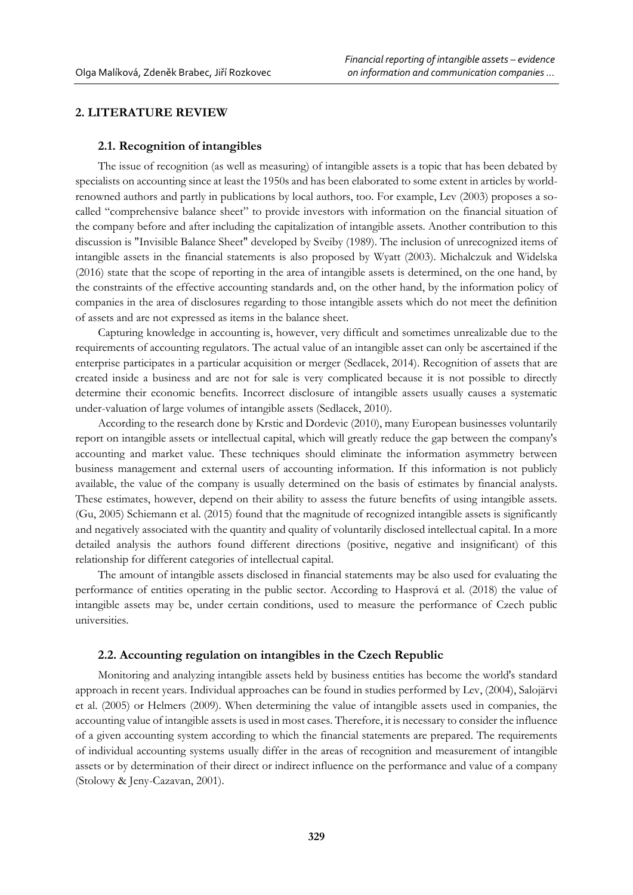# **2. LITERATURE REVIEW**

## **2.1. Recognition of intangibles**

The issue of recognition (as well as measuring) of intangible assets is a topic that has been debated by specialists on accounting since at least the 1950s and has been elaborated to some extent in articles by worldrenowned authors and partly in publications by local authors, too. For example, Lev (2003) proposes a socalled "comprehensive balance sheet" to provide investors with information on the financial situation of the company before and after including the capitalization of intangible assets. Another contribution to this discussion is "Invisible Balance Sheet" developed by Sveiby (1989). The inclusion of unrecognized items of intangible assets in the financial statements is also proposed by Wyatt (2003). Michalczuk and Widelska (2016) state that the scope of reporting in the area of intangible assets is determined, on the one hand, by the constraints of the effective accounting standards and, on the other hand, by the information policy of companies in the area of disclosures regarding to those intangible assets which do not meet the definition of assets and are not expressed as items in the balance sheet.

Capturing knowledge in accounting is, however, very difficult and sometimes unrealizable due to the requirements of accounting regulators. The actual value of an intangible asset can only be ascertained if the enterprise participates in a particular acquisition or merger (Sedlacek, 2014). Recognition of assets that are created inside a business and are not for sale is very complicated because it is not possible to directly determine their economic benefits. Incorrect disclosure of intangible assets usually causes a systematic under-valuation of large volumes of intangible assets (Sedlacek, 2010).

According to the research done by Krstic and Dordevic (2010), many European businesses voluntarily report on intangible assets or intellectual capital, which will greatly reduce the gap between the company's accounting and market value. These techniques should eliminate the information asymmetry between business management and external users of accounting information. If this information is not publicly available, the value of the company is usually determined on the basis of estimates by financial analysts. These estimates, however, depend on their ability to assess the future benefits of using intangible assets. (Gu, 2005) Schiemann et al. (2015) found that the magnitude of recognized intangible assets is significantly and negatively associated with the quantity and quality of voluntarily disclosed intellectual capital. In a more detailed analysis the authors found different directions (positive, negative and insignificant) of this relationship for different categories of intellectual capital.

The amount of intangible assets disclosed in financial statements may be also used for evaluating the performance of entities operating in the public sector. According to Hasprová et al. (2018) the value of intangible assets may be, under certain conditions, used to measure the performance of Czech public universities.

# **2.2. Accounting regulation on intangibles in the Czech Republic**

Monitoring and analyzing intangible assets held by business entities has become the world's standard approach in recent years. Individual approaches can be found in studies performed by Lev, (2004), Salojärvi et al. (2005) or Helmers (2009). When determining the value of intangible assets used in companies, the accounting value of intangible assets is used in most cases. Therefore, it is necessary to consider the influence of a given accounting system according to which the financial statements are prepared. The requirements of individual accounting systems usually differ in the areas of recognition and measurement of intangible assets or by determination of their direct or indirect influence on the performance and value of a company (Stolowy & Jeny-Cazavan, 2001).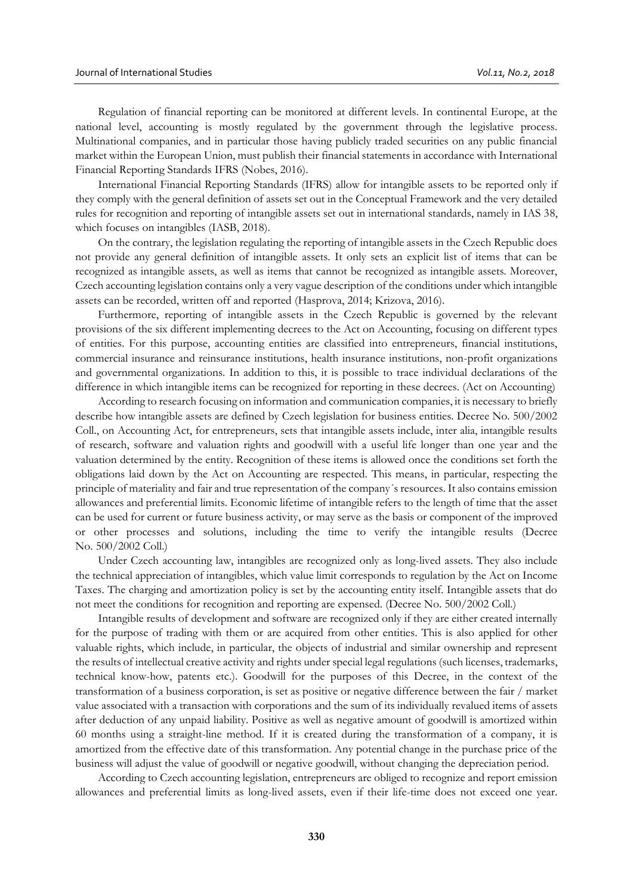Regulation of financial reporting can be monitored at different levels. In continental Europe, at the national level, accounting is mostly regulated by the government through the legislative process. Multinational companies, and in particular those having publicly traded securities on any public financial market within the European Union, must publish their financial statements in accordance with International Financial Reporting Standards IFRS (Nobes, 2016).

International Financial Reporting Standards (IFRS) allow for intangible assets to be reported only if they comply with the general definition of assets set out in the Conceptual Framework and the very detailed rules for recognition and reporting of intangible assets set out in international standards, namely in IAS 38, which focuses on intangibles (IASB, 2018).

On the contrary, the legislation regulating the reporting of intangible assets in the Czech Republic does not provide any general definition of intangible assets. It only sets an explicit list of items that can be recognized as intangible assets, as well as items that cannot be recognized as intangible assets. Moreover, Czech accounting legislation contains only a very vague description of the conditions under which intangible assets can be recorded, written off and reported (Hasprova, 2014; Krizova, 2016).

Furthermore, reporting of intangible assets in the Czech Republic is governed by the relevant provisions of the six different implementing decrees to the Act on Accounting, focusing on different types of entities. For this purpose, accounting entities are classified into entrepreneurs, financial institutions, commercial insurance and reinsurance institutions, health insurance institutions, non-profit organizations and governmental organizations. In addition to this, it is possible to trace individual declarations of the difference in which intangible items can be recognized for reporting in these decrees. (Act on Accounting)

According to research focusing on information and communication companies, it is necessary to briefly describe how intangible assets are defined by Czech legislation for business entities. Decree No. 500/2002 Coll., on Accounting Act, for entrepreneurs, sets that intangible assets include, inter alia, intangible results of research, software and valuation rights and goodwill with a useful life longer than one year and the valuation determined by the entity. Recognition of these items is allowed once the conditions set forth the obligations laid down by the Act on Accounting are respected. This means, in particular, respecting the principle of materiality and fair and true representation of the company´s resources. It also contains emission allowances and preferential limits. Economic lifetime of intangible refers to the length of time that the asset can be used for current or future business activity, or may serve as the basis or component of the improved or other processes and solutions, including the time to verify the intangible results (Decree No. 500/2002 Coll.)

Under Czech accounting law, intangibles are recognized only as long-lived assets. They also include the technical appreciation of intangibles, which value limit corresponds to regulation by the Act on Income Taxes. The charging and amortization policy is set by the accounting entity itself. Intangible assets that do not meet the conditions for recognition and reporting are expensed. (Decree No. 500/2002 Coll.)

Intangible results of development and software are recognized only if they are either created internally for the purpose of trading with them or are acquired from other entities. This is also applied for other valuable rights, which include, in particular, the objects of industrial and similar ownership and represent the results of intellectual creative activity and rights under special legal regulations (such licenses, trademarks, technical know-how, patents etc.). Goodwill for the purposes of this Decree, in the context of the transformation of a business corporation, is set as positive or negative difference between the fair / market value associated with a transaction with corporations and the sum of its individually revalued items of assets after deduction of any unpaid liability. Positive as well as negative amount of goodwill is amortized within 60 months using a straight-line method. If it is created during the transformation of a company, it is amortized from the effective date of this transformation. Any potential change in the purchase price of the business will adjust the value of goodwill or negative goodwill, without changing the depreciation period.

According to Czech accounting legislation, entrepreneurs are obliged to recognize and report emission allowances and preferential limits as long-lived assets, even if their life-time does not exceed one year.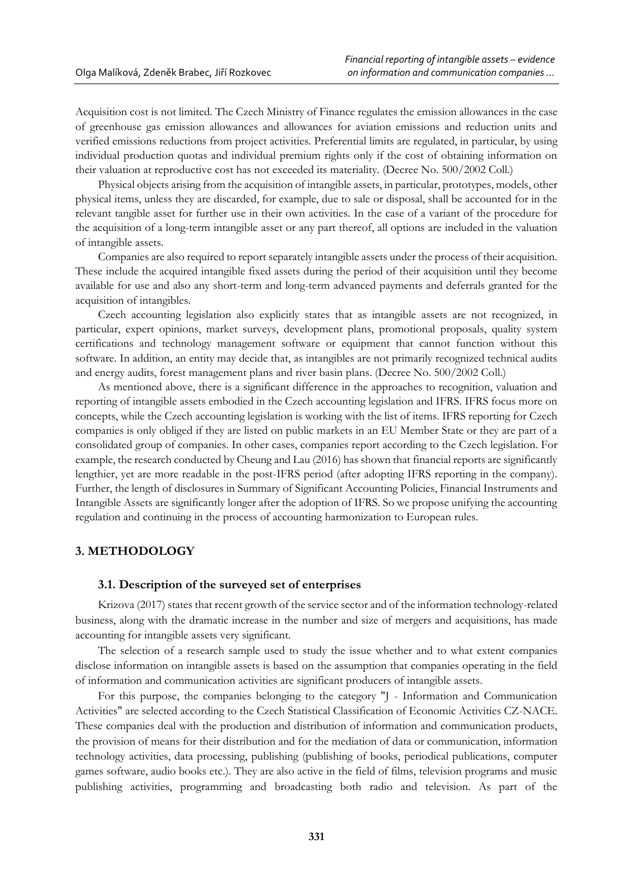Acquisition cost is not limited. The Czech Ministry of Finance regulates the emission allowances in the case of greenhouse gas emission allowances and allowances for aviation emissions and reduction units and verified emissions reductions from project activities. Preferential limits are regulated, in particular, by using individual production quotas and individual premium rights only if the cost of obtaining information on their valuation at reproductive cost has not exceeded its materiality. (Decree No. 500/2002 Coll.)

Physical objects arising from the acquisition of intangible assets, in particular, prototypes, models, other physical items, unless they are discarded, for example, due to sale or disposal, shall be accounted for in the relevant tangible asset for further use in their own activities. In the case of a variant of the procedure for the acquisition of a long-term intangible asset or any part thereof, all options are included in the valuation of intangible assets.

Companies are also required to report separately intangible assets under the process of their acquisition. These include the acquired intangible fixed assets during the period of their acquisition until they become available for use and also any short-term and long-term advanced payments and deferrals granted for the acquisition of intangibles.

Czech accounting legislation also explicitly states that as intangible assets are not recognized, in particular, expert opinions, market surveys, development plans, promotional proposals, quality system certifications and technology management software or equipment that cannot function without this software. In addition, an entity may decide that, as intangibles are not primarily recognized technical audits and energy audits, forest management plans and river basin plans. (Decree No. 500/2002 Coll.)

As mentioned above, there is a significant difference in the approaches to recognition, valuation and reporting of intangible assets embodied in the Czech accounting legislation and IFRS. IFRS focus more on concepts, while the Czech accounting legislation is working with the list of items. IFRS reporting for Czech companies is only obliged if they are listed on public markets in an EU Member State or they are part of a consolidated group of companies. In other cases, companies report according to the Czech legislation. For example, the research conducted by Cheung and Lau (2016) has shown that financial reports are significantly lengthier, yet are more readable in the post-IFRS period (after adopting IFRS reporting in the company). Further, the length of disclosures in Summary of Significant Accounting Policies, Financial Instruments and Intangible Assets are significantly longer after the adoption of IFRS. So we propose unifying the accounting regulation and continuing in the process of accounting harmonization to European rules.

# **3. METHODOLOGY**

#### **3.1. Description of the surveyed set of enterprises**

Krizova (2017) states that recent growth of the service sector and of the information technology-related business, along with the dramatic increase in the number and size of mergers and acquisitions, has made accounting for intangible assets very significant.

The selection of a research sample used to study the issue whether and to what extent companies disclose information on intangible assets is based on the assumption that companies operating in the field of information and communication activities are significant producers of intangible assets.

For this purpose, the companies belonging to the category "J - Information and Communication Activities" are selected according to the Czech Statistical Classification of Economic Activities CZ-NACE. These companies deal with the production and distribution of information and communication products, the provision of means for their distribution and for the mediation of data or communication, information technology activities, data processing, publishing (publishing of books, periodical publications, computer games software, audio books etc.). They are also active in the field of films, television programs and music publishing activities, programming and broadcasting both radio and television. As part of the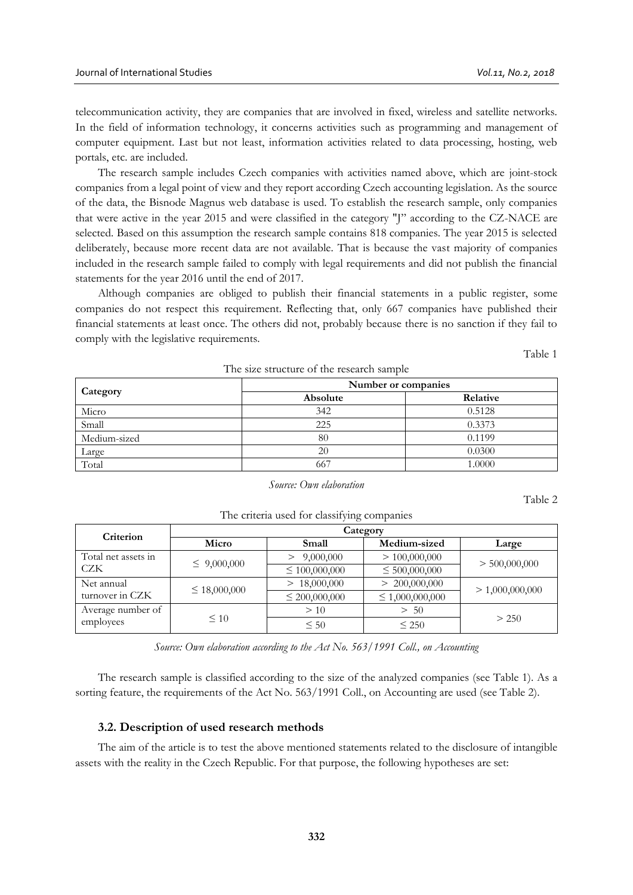telecommunication activity, they are companies that are involved in fixed, wireless and satellite networks. In the field of information technology, it concerns activities such as programming and management of computer equipment. Last but not least, information activities related to data processing, hosting, web portals, etc. are included.

The research sample includes Czech companies with activities named above, which are joint-stock companies from a legal point of view and they report according Czech accounting legislation. As the source of the data, the Bisnode Magnus web database is used. To establish the research sample, only companies that were active in the year 2015 and were classified in the category "J" according to the CZ-NACE are selected. Based on this assumption the research sample contains 818 companies. The year 2015 is selected deliberately, because more recent data are not available. That is because the vast majority of companies included in the research sample failed to comply with legal requirements and did not publish the financial statements for the year 2016 until the end of 2017.

Although companies are obliged to publish their financial statements in a public register, some companies do not respect this requirement. Reflecting that, only 667 companies have published their financial statements at least once. The others did not, probably because there is no sanction if they fail to comply with the legislative requirements.

Table 1

Table 2

|              | Number or companies |          |
|--------------|---------------------|----------|
| Category     | Absolute            | Relative |
| Micro        | 342                 | 0.5128   |
| Small        | 225                 | 0.3373   |
| Medium-sized | 80                  | 0.1199   |
| Large        | 20                  | 0.0300   |
| Total        | 667                 | 1.0000   |

The size structure of the research sample

#### *Source: Own elaboration*

The criteria used for classifying companies

| Criterion           | Category          |                    |                      |                 |  |  |  |  |  |
|---------------------|-------------------|--------------------|----------------------|-----------------|--|--|--|--|--|
|                     | Micro             | Small              | Medium-sized         | Large           |  |  |  |  |  |
| Total net assets in |                   | 9,000,000          | > 100,000,000        |                 |  |  |  |  |  |
| CZK                 | $\leq 9,000,000$  | $\leq 100,000,000$ | $\leq 500,000,000$   | > 500,000,000   |  |  |  |  |  |
| Net annual          |                   | > 18,000,000       | > 200,000,000        |                 |  |  |  |  |  |
| turnover in CZK     | $\leq 18,000,000$ | $\leq 200,000,000$ | $\leq 1,000,000,000$ | > 1,000,000,000 |  |  |  |  |  |
| Average number of   |                   | >10                | 50<br>$\gt$          |                 |  |  |  |  |  |
| employees           | $\leq 10$         | $\leq 50$          | < 250                | > 250           |  |  |  |  |  |

*Source: Own elaboration according to the Act No. 563/1991 Coll., on Accounting*

The research sample is classified according to the size of the analyzed companies (see Table 1). As a sorting feature, the requirements of the Act No. 563/1991 Coll., on Accounting are used (see Table 2).

#### **3.2. Description of used research methods**

The aim of the article is to test the above mentioned statements related to the disclosure of intangible assets with the reality in the Czech Republic. For that purpose, the following hypotheses are set: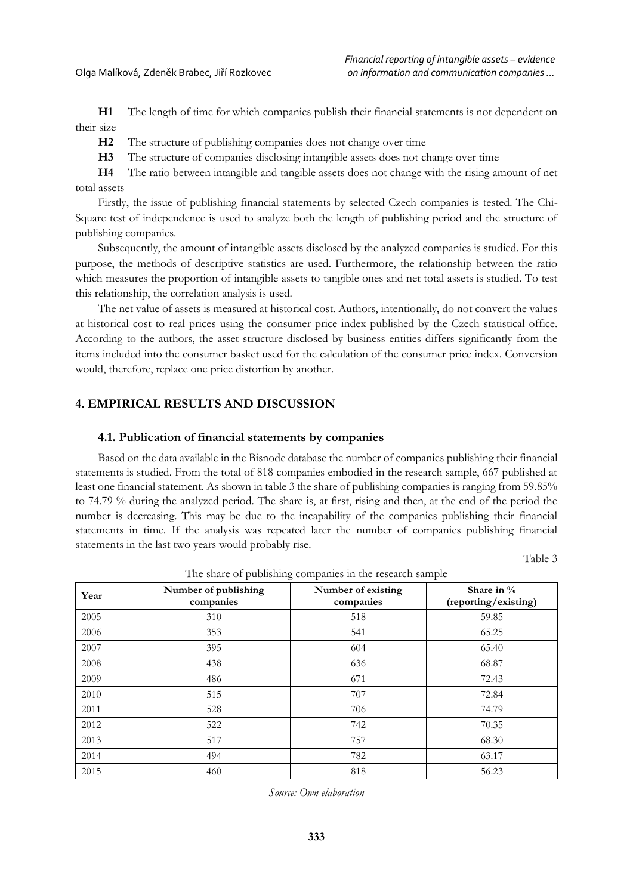**H1** The length of time for which companies publish their financial statements is not dependent on their size

**H2** The structure of publishing companies does not change over time

**H3** The structure of companies disclosing intangible assets does not change over time

**H4** The ratio between intangible and tangible assets does not change with the rising amount of net total assets

Firstly, the issue of publishing financial statements by selected Czech companies is tested. The Chi-Square test of independence is used to analyze both the length of publishing period and the structure of publishing companies.

Subsequently, the amount of intangible assets disclosed by the analyzed companies is studied. For this purpose, the methods of descriptive statistics are used. Furthermore, the relationship between the ratio which measures the proportion of intangible assets to tangible ones and net total assets is studied. To test this relationship, the correlation analysis is used.

The net value of assets is measured at historical cost. Authors, intentionally, do not convert the values at historical cost to real prices using the consumer price index published by the Czech statistical office. According to the authors, the asset structure disclosed by business entities differs significantly from the items included into the consumer basket used for the calculation of the consumer price index. Conversion would, therefore, replace one price distortion by another.

# **4. EMPIRICAL RESULTS AND DISCUSSION**

#### **4.1. Publication of financial statements by companies**

Based on the data available in the Bisnode database the number of companies publishing their financial statements is studied. From the total of 818 companies embodied in the research sample, 667 published at least one financial statement. As shown in table 3 the share of publishing companies is ranging from 59.85% to 74.79 % during the analyzed period. The share is, at first, rising and then, at the end of the period the number is decreasing. This may be due to the incapability of the companies publishing their financial statements in time. If the analysis was repeated later the number of companies publishing financial statements in the last two years would probably rise.

Table 3

| Year | Number of publishing<br>companies | Number of existing<br>companies | Share in $\%$<br>(reporting/existing) |
|------|-----------------------------------|---------------------------------|---------------------------------------|
| 2005 | 310                               | 518                             | 59.85                                 |
| 2006 | 353                               | 541                             | 65.25                                 |
| 2007 | 395                               | 604                             | 65.40                                 |
| 2008 | 438                               | 636                             | 68.87                                 |
| 2009 | 486                               | 671                             | 72.43                                 |
| 2010 | 515                               | 707                             | 72.84                                 |
| 2011 | 528                               | 706                             | 74.79                                 |
| 2012 | 522                               | 742                             | 70.35                                 |
| 2013 | 517                               | 757                             | 68.30                                 |
| 2014 | 494                               | 782                             | 63.17                                 |
| 2015 | 460                               | 818                             | 56.23                                 |

The share of publishing companies in the research sample

*Source: Own elaboration*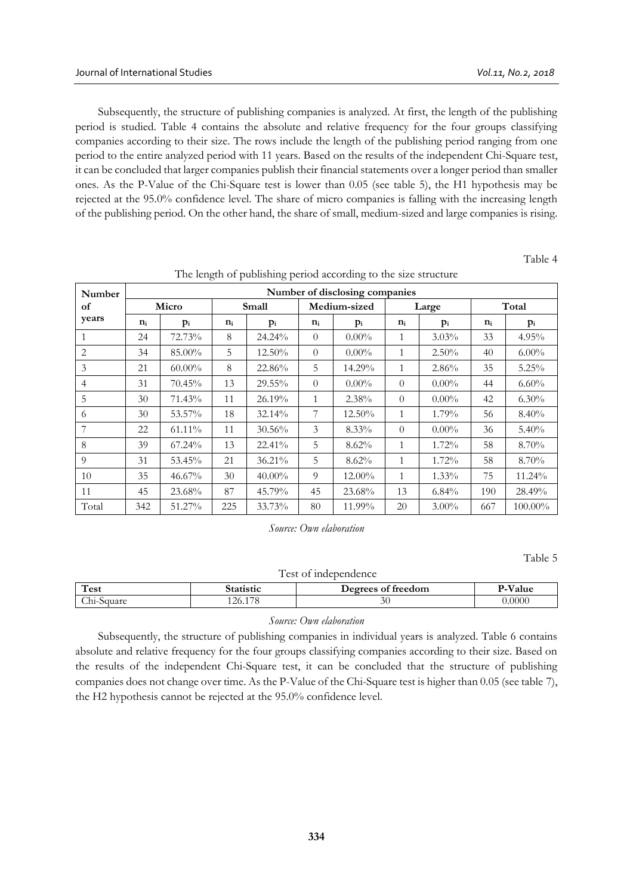Subsequently, the structure of publishing companies is analyzed. At first, the length of the publishing period is studied. Table 4 contains the absolute and relative frequency for the four groups classifying companies according to their size. The rows include the length of the publishing period ranging from one period to the entire analyzed period with 11 years. Based on the results of the independent Chi-Square test, it can be concluded that larger companies publish their financial statements over a longer period than smaller ones. As the P-Value of the Chi-Square test is lower than 0.05 (see table 5), the H1 hypothesis may be rejected at the 95.0% confidence level. The share of micro companies is falling with the increasing length of the publishing period. On the other hand, the share of small, medium-sized and large companies is rising.

Table 4

| Number         | Number of disclosing companies |           |       |           |                       |           |              |          |       |            |
|----------------|--------------------------------|-----------|-------|-----------|-----------------------|-----------|--------------|----------|-------|------------|
| of             |                                | Micro     |       | Small     | Medium-sized<br>Large |           |              | Total    |       |            |
| years          | $n_i$                          | $p_i$     | $n_i$ | $p_i$     | $n_i$                 | $p_i$     | $n_i$        | $p_i$    | $n_i$ | $p_i$      |
|                | 24                             | 72.73%    | 8     | 24.24%    | $\theta$              | $0.00\%$  | 1            | $3.03\%$ | 33    | $4.95\%$   |
| 2              | 34                             | 85.00%    | 5     | 12.50%    | $\theta$              | $0.00\%$  | $\mathbf{1}$ | $2.50\%$ | 40    | $6.00\%$   |
| 3              | 21                             | $60.00\%$ | 8     | 22.86%    | 5                     | 14.29%    | $\mathbf{1}$ | 2.86%    | 35    | 5.25%      |
| $\overline{4}$ | 31                             | 70.45%    | 13    | 29.55%    | $\theta$              | $0.00\%$  | $\Omega$     | $0.00\%$ | 44    | $6.60\%$   |
| 5              | 30                             | 71.43%    | 11    | 26.19%    | 1                     | 2.38%     | $\theta$     | $0.00\%$ | 42    | $6.30\%$   |
| 6              | 30                             | 53.57%    | 18    | 32.14%    | 7                     | 12.50%    | $\mathbf{1}$ | 1.79%    | 56    | 8.40%      |
| 7              | 22                             | 61.11%    | 11    | $30.56\%$ | 3                     | 8.33%     | $\theta$     | $0.00\%$ | 36    | $5.40\%$   |
| 8              | 39                             | 67.24%    | 13    | 22.41%    | 5                     | $8.62\%$  | $\mathbf{1}$ | 1.72%    | 58    | 8.70%      |
| 9              | 31                             | 53.45%    | 21    | 36.21%    | 5                     | 8.62%     | $\mathbf{1}$ | 1.72%    | 58    | 8.70%      |
| 10             | 35                             | 46.67%    | 30    | $40.00\%$ | 9                     | $12.00\%$ | $\mathbf{1}$ | $1.33\%$ | 75    | 11.24%     |
| 11             | 45                             | 23.68%    | 87    | 45.79%    | 45                    | 23.68%    | 13           | $6.84\%$ | 190   | 28.49%     |
| Total          | 342                            | 51.27%    | 225   | 33.73%    | 80                    | 11.99%    | 20           | $3.00\%$ | 667   | $100.00\%$ |

The length of publishing period according to the size structure

*Source: Own elaboration* 

Table 5

| Test of independence |                                                   |    |       |  |  |  |  |  |  |
|----------------------|---------------------------------------------------|----|-------|--|--|--|--|--|--|
| Test                 | P-Value<br>Degrees of freedom<br><b>Statistic</b> |    |       |  |  |  |  |  |  |
| Chi-Square           | 126.178                                           | 30 | .0000 |  |  |  |  |  |  |

#### *Source: Own elaboration*

Subsequently, the structure of publishing companies in individual years is analyzed. Table 6 contains absolute and relative frequency for the four groups classifying companies according to their size. Based on the results of the independent Chi-Square test, it can be concluded that the structure of publishing companies does not change over time. As the P-Value of the Chi-Square test is higher than 0.05 (see table 7), the H2 hypothesis cannot be rejected at the 95.0% confidence level.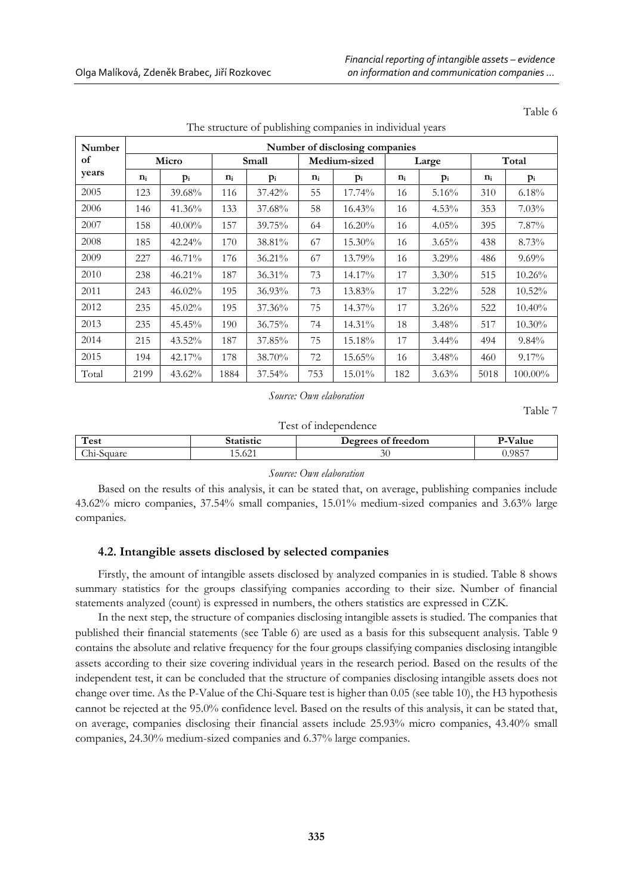| Number | Number of disclosing companies |           |       |        |       |              |       |          |       |          |  |
|--------|--------------------------------|-----------|-------|--------|-------|--------------|-------|----------|-------|----------|--|
| of     |                                | Micro     |       | Small  |       | Medium-sized |       | Large    |       | Total    |  |
| years  | $n_i$                          | $p_i$     | $n_i$ | $p_i$  | $n_i$ | $p_i$        | $n_i$ | $p_i$    | $n_i$ | $p_i$    |  |
| 2005   | 123                            | 39.68%    | 116   | 37.42% | 55    | 17.74%       | 16    | 5.16%    | 310   | 6.18%    |  |
| 2006   | 146                            | 41.36%    | 133   | 37.68% | 58    | 16.43%       | 16    | $4.53\%$ | 353   | 7.03%    |  |
| 2007   | 158                            | $40.00\%$ | 157   | 39.75% | 64    | 16.20%       | 16    | 4.05%    | 395   | 7.87%    |  |
| 2008   | 185                            | 42.24%    | 170   | 38.81% | 67    | 15.30%       | 16    | $3.65\%$ | 438   | 8.73%    |  |
| 2009   | 227                            | 46.71%    | 176   | 36.21% | 67    | 13.79%       | 16    | $3.29\%$ | 486   | $9.69\%$ |  |
| 2010   | 238                            | 46.21%    | 187   | 36.31% | 73    | 14.17%       | 17    | $3.30\%$ | 515   | 10.26%   |  |
| 2011   | 243                            | 46.02%    | 195   | 36.93% | 73    | 13.83%       | 17    | $3.22\%$ | 528   | 10.52%   |  |
| 2012   | 235                            | 45.02%    | 195   | 37.36% | 75    | 14.37%       | 17    | 3.26%    | 522   | 10.40%   |  |
| 2013   | 235                            | 45.45%    | 190   | 36.75% | 74    | 14.31%       | 18    | 3.48%    | 517   | 10.30%   |  |
| 2014   | 215                            | 43.52%    | 187   | 37.85% | 75    | 15.18%       | 17    | $3.44\%$ | 494   | $9.84\%$ |  |
| 2015   | 194                            | 42.17%    | 178   | 38.70% | 72    | 15.65%       | 16    | 3.48%    | 460   | $9.17\%$ |  |
| Total  | 2199                           | 43.62%    | 1884  | 37.54% | 753   | 15.01%       | 182   | 3.63%    | 5018  | 100.00%  |  |

The structure of publishing companies in individual years

*Source: Own elaboration* 

Table 7

Test of independence

| Test                                               |                                 | treedom<br>$\sim$<br>0.00000 | alue<br>-     |  |  |
|----------------------------------------------------|---------------------------------|------------------------------|---------------|--|--|
| ⌒''<br>nuare<br>$\sim$<br>70 I<br>- 11 -<br>$\sim$ | $\sim$<br>-<br>$\sim$<br>19.041 | ЭU                           | 0.0057<br>20D |  |  |

#### *Source: Own elaboration*

Based on the results of this analysis, it can be stated that, on average, publishing companies include 43.62% micro companies, 37.54% small companies, 15.01% medium-sized companies and 3.63% large companies.

# **4.2. Intangible assets disclosed by selected companies**

Firstly, the amount of intangible assets disclosed by analyzed companies in is studied. Table 8 shows summary statistics for the groups classifying companies according to their size. Number of financial statements analyzed (count) is expressed in numbers, the others statistics are expressed in CZK.

In the next step, the structure of companies disclosing intangible assets is studied. The companies that published their financial statements (see Table 6) are used as a basis for this subsequent analysis. Table 9 contains the absolute and relative frequency for the four groups classifying companies disclosing intangible assets according to their size covering individual years in the research period. Based on the results of the independent test, it can be concluded that the structure of companies disclosing intangible assets does not change over time. As the P-Value of the Chi-Square test is higher than 0.05 (see table 10), the H3 hypothesis cannot be rejected at the 95.0% confidence level. Based on the results of this analysis, it can be stated that, on average, companies disclosing their financial assets include 25.93% micro companies, 43.40% small companies, 24.30% medium-sized companies and 6.37% large companies.

Table 6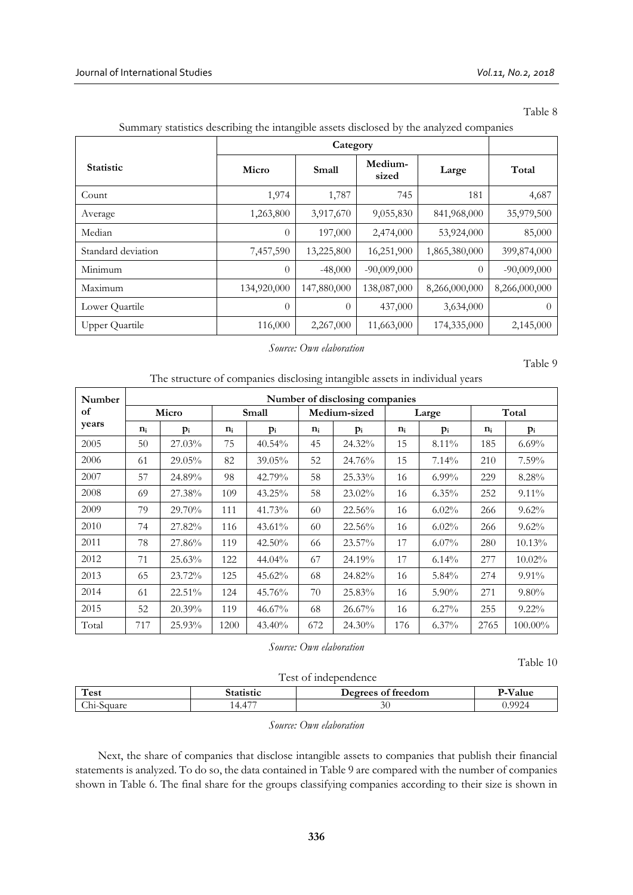Table 8

| <b>Statistic</b>      | Micro          | Small       | Medium-<br>sized | Large         | Total         |
|-----------------------|----------------|-------------|------------------|---------------|---------------|
| Count                 | 1,974          | 1,787       | 745              | 181           | 4,687         |
| Average               | 1,263,800      | 3,917,670   | 9,055,830        | 841,968,000   | 35,979,500    |
| Median                | $\overline{0}$ | 197,000     | 2,474,000        | 53,924,000    | 85,000        |
| Standard deviation    | 7,457,590      | 13,225,800  | 16,251,900       | 1,865,380,000 | 399,874,000   |
| Minimum               | $\theta$       | $-48,000$   | $-90,009,000$    | $\Omega$      | $-90,009,000$ |
| Maximum               | 134,920,000    | 147,880,000 | 138,087,000      | 8,266,000,000 | 8,266,000,000 |
| Lower Quartile        | $\theta$       | $\theta$    | 437,000          | 3,634,000     | $\left($      |
| <b>Upper Quartile</b> | 116,000        | 2,267,000   | 11,663,000       | 174,335,000   | 2,145,000     |

# Summary statistics describing the intangible assets disclosed by the analyzed companies

#### *Source: Own elaboration*

Table 9

| The structure of companies disclosing intangible assets in individual years |  |  |  |  |  |  |
|-----------------------------------------------------------------------------|--|--|--|--|--|--|
|                                                                             |  |  |  |  |  |  |

| Number | Number of disclosing companies |        |       |           |       |              |       |          |       |           |  |
|--------|--------------------------------|--------|-------|-----------|-------|--------------|-------|----------|-------|-----------|--|
| of     |                                | Micro  |       | Small     |       | Medium-sized | Large |          |       | Total     |  |
| years  | $n_i$                          | $p_i$  | $n_i$ | $p_i$     | $n_i$ | $p_i$        | $n_i$ | $p_i$    | $n_i$ | $p_i$     |  |
| 2005   | 50                             | 27.03% | 75    | 40.54%    | 45    | 24.32%       | 15    | 8.11%    | 185   | $6.69\%$  |  |
| 2006   | 61                             | 29.05% | 82    | 39.05%    | 52    | 24.76%       | 15    | 7.14%    | 210   | $7.59\%$  |  |
| 2007   | 57                             | 24.89% | 98    | 42.79%    | 58    | 25.33%       | 16    | $6.99\%$ | 229   | 8.28%     |  |
| 2008   | 69                             | 27.38% | 109   | $43.25\%$ | 58    | 23.02%       | 16    | $6.35\%$ | 252   | $9.11\%$  |  |
| 2009   | 79                             | 29.70% | 111   | 41.73%    | 60    | 22.56%       | 16    | $6.02\%$ | 266   | $9.62\%$  |  |
| 2010   | 74                             | 27.82% | 116   | 43.61%    | 60    | 22.56%       | 16    | $6.02\%$ | 266   | $9.62\%$  |  |
| 2011   | 78                             | 27.86% | 119   | 42.50%    | 66    | 23.57%       | 17    | $6.07\%$ | 280   | 10.13%    |  |
| 2012   | 71                             | 25.63% | 122   | 44.04%    | 67    | 24.19%       | 17    | $6.14\%$ | 277   | $10.02\%$ |  |
| 2013   | 65                             | 23.72% | 125   | 45.62%    | 68    | 24.82%       | 16    | 5.84%    | 274   | $9.91\%$  |  |
| 2014   | 61                             | 22.51% | 124   | 45.76%    | 70    | 25.83%       | 16    | $5.90\%$ | 271   | $9.80\%$  |  |
| 2015   | 52                             | 20.39% | 119   | $46.67\%$ | 68    | 26.67%       | 16    | $6.27\%$ | 255   | $9.22\%$  |  |
| Total  | 717                            | 25.93% | 1200  | 43.40%    | 672   | 24.30%       | 176   | $6.37\%$ | 2765  | 100.00%   |  |

*Source: Own elaboration* 

Table 10

Test of independence

| $\mathbf{H}$<br>Test                  |                     | treedom<br>lecters of | –                     |
|---------------------------------------|---------------------|-----------------------|-----------------------|
| $\sim$<br>$\cup$ hi- $\cdot$<br>iualc | $- -$<br>$\sqrt{ }$ | 30 <sup>°</sup>       | າ ດດາ<br>,, <i>,,</i> |

# *Source: Own elaboration*

Next, the share of companies that disclose intangible assets to companies that publish their financial statements is analyzed. To do so, the data contained in Table 9 are compared with the number of companies shown in Table 6. The final share for the groups classifying companies according to their size is shown in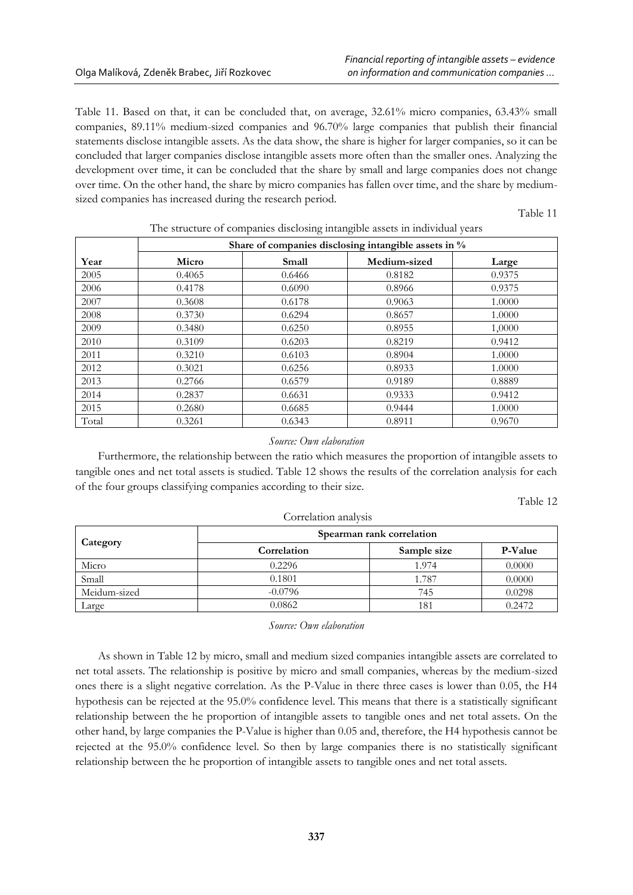Table 11. Based on that, it can be concluded that, on average, 32.61% micro companies, 63.43% small companies, 89.11% medium-sized companies and 96.70% large companies that publish their financial statements disclose intangible assets. As the data show, the share is higher for larger companies, so it can be concluded that larger companies disclose intangible assets more often than the smaller ones. Analyzing the development over time, it can be concluded that the share by small and large companies does not change over time. On the other hand, the share by micro companies has fallen over time, and the share by mediumsized companies has increased during the research period.

Table 11

|       | Share of companies disclosing intangible assets in % |        |              |        |  |  |  |  |  |  |
|-------|------------------------------------------------------|--------|--------------|--------|--|--|--|--|--|--|
| Year  | Micro                                                | Small  | Medium-sized | Large  |  |  |  |  |  |  |
| 2005  | 0.4065                                               | 0.6466 | 0.8182       | 0.9375 |  |  |  |  |  |  |
| 2006  | 0.4178                                               | 0.6090 | 0.8966       | 0.9375 |  |  |  |  |  |  |
| 2007  | 0.3608                                               | 0.6178 | 0.9063       | 1.0000 |  |  |  |  |  |  |
| 2008  | 0.3730                                               | 0.6294 | 0.8657       | 1.0000 |  |  |  |  |  |  |
| 2009  | 0.3480                                               | 0.6250 | 0.8955       | 1,0000 |  |  |  |  |  |  |
| 2010  | 0.3109                                               | 0.6203 | 0.8219       | 0.9412 |  |  |  |  |  |  |
| 2011  | 0.3210                                               | 0.6103 | 0.8904       | 1.0000 |  |  |  |  |  |  |
| 2012  | 0.3021                                               | 0.6256 | 0.8933       | 1.0000 |  |  |  |  |  |  |
| 2013  | 0.2766                                               | 0.6579 | 0.9189       | 0.8889 |  |  |  |  |  |  |
| 2014  | 0.2837                                               | 0.6631 | 0.9333       | 0.9412 |  |  |  |  |  |  |
| 2015  | 0.2680                                               | 0.6685 | 0.9444       | 1.0000 |  |  |  |  |  |  |
| Total | 0.3261                                               | 0.6343 | 0.8911       | 0.9670 |  |  |  |  |  |  |

The structure of companies disclosing intangible assets in individual years

### *Source: Own elaboration*

Furthermore, the relationship between the ratio which measures the proportion of intangible assets to tangible ones and net total assets is studied. Table 12 shows the results of the correlation analysis for each of the four groups classifying companies according to their size.

Table 12

| Correlation analysis |                           |             |                |
|----------------------|---------------------------|-------------|----------------|
| Category             | Spearman rank correlation |             |                |
|                      | Correlation               | Sample size | <b>P-Value</b> |
| Micro                | 0.2296                    | 1.974       | 0.0000         |
| Small                | 0.1801                    | 1.787       | 0.0000         |
| Meidum-sized         | $-0.0796$                 | 745         | 0.0298         |
| Large                | 0.0862                    | 181         | 0.2472         |

*Source: Own elaboration*

As shown in Table 12 by micro, small and medium sized companies intangible assets are correlated to net total assets. The relationship is positive by micro and small companies, whereas by the medium-sized ones there is a slight negative correlation. As the P-Value in there three cases is lower than 0.05, the H4 hypothesis can be rejected at the 95.0% confidence level. This means that there is a statistically significant relationship between the he proportion of intangible assets to tangible ones and net total assets. On the other hand, by large companies the P-Value is higher than 0.05 and, therefore, the H4 hypothesis cannot be rejected at the 95.0% confidence level. So then by large companies there is no statistically significant relationship between the he proportion of intangible assets to tangible ones and net total assets.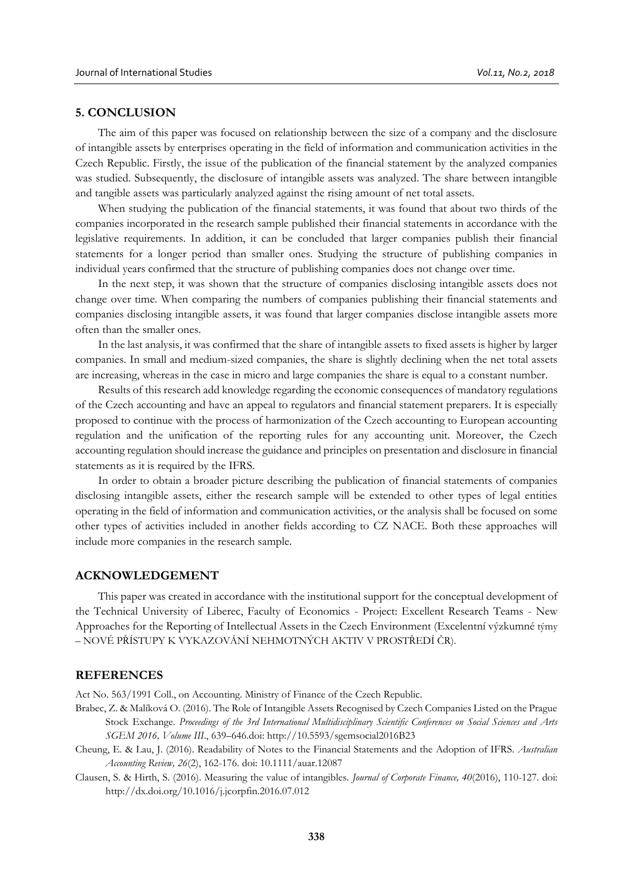### **5. CONCLUSION**

The aim of this paper was focused on relationship between the size of a company and the disclosure of intangible assets by enterprises operating in the field of information and communication activities in the Czech Republic. Firstly, the issue of the publication of the financial statement by the analyzed companies was studied. Subsequently, the disclosure of intangible assets was analyzed. The share between intangible and tangible assets was particularly analyzed against the rising amount of net total assets.

When studying the publication of the financial statements, it was found that about two thirds of the companies incorporated in the research sample published their financial statements in accordance with the legislative requirements. In addition, it can be concluded that larger companies publish their financial statements for a longer period than smaller ones. Studying the structure of publishing companies in individual years confirmed that the structure of publishing companies does not change over time.

In the next step, it was shown that the structure of companies disclosing intangible assets does not change over time. When comparing the numbers of companies publishing their financial statements and companies disclosing intangible assets, it was found that larger companies disclose intangible assets more often than the smaller ones.

In the last analysis, it was confirmed that the share of intangible assets to fixed assets is higher by larger companies. In small and medium-sized companies, the share is slightly declining when the net total assets are increasing, whereas in the case in micro and large companies the share is equal to a constant number.

Results of this research add knowledge regarding the economic consequences of mandatory regulations of the Czech accounting and have an appeal to regulators and financial statement preparers. It is especially proposed to continue with the process of harmonization of the Czech accounting to European accounting regulation and the unification of the reporting rules for any accounting unit. Moreover, the Czech accounting regulation should increase the guidance and principles on presentation and disclosure in financial statements as it is required by the IFRS.

In order to obtain a broader picture describing the publication of financial statements of companies disclosing intangible assets, either the research sample will be extended to other types of legal entities operating in the field of information and communication activities, or the analysis shall be focused on some other types of activities included in another fields according to CZ NACE. Both these approaches will include more companies in the research sample.

# **ACKNOWLEDGEMENT**

This paper was created in accordance with the institutional support for the conceptual development of the Technical University of Liberec, Faculty of Economics - Project: Excellent Research Teams - New Approaches for the Reporting of Intellectual Assets in the Czech Environment (Excelentní výzkumné týmy – NOVÉ PŘÍSTUPY K VYKAZOVÁNÍ NEHMOTNÝCH AKTIV V PROSTŘEDÍ ČR).

## **REFERENCES**

Act No. 563/1991 Coll., on Accounting. Ministry of Finance of the Czech Republic.

- Brabec, Z. & Malíková O. (2016). The Role of Intangible Assets Recognised by Czech Companies Listed on the Prague Stock Exchange. *Proceedings of the 3rd International Multidisciplinary Scientific Conferences on Social Sciences and Arts SGEM 2016, Volume III*., 639–646.doi: http://10.5593/sgemsocial2016B23
- Cheung, E. & Lau, J. (2016). Readability of Notes to the Financial Statements and the Adoption of IFRS. *Australian Accounting Review, 26*(2), 162-176. doi: 10.1111/auar.12087
- Clausen, S. & Hirth, S. (2016). Measuring the value of intangibles. *Journal of Corporate Finance, 40*(2016), 110-127. doi: http://dx.doi.org/10.1016/j.jcorpfin.2016.07.012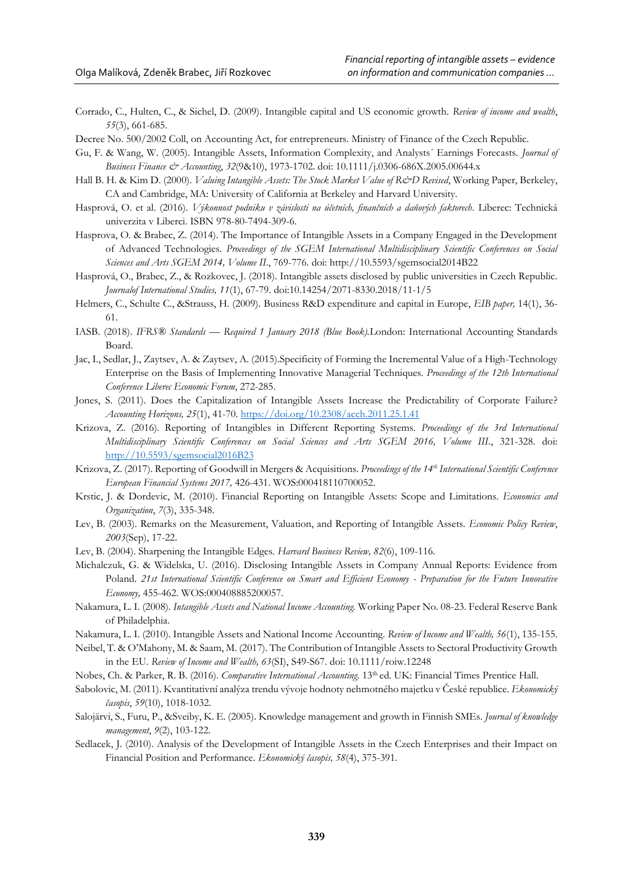- Corrado, C., Hulten, C., & Sichel, D. (2009). Intangible capital and US economic growth. *Review of income and wealth*, *55*(3), 661-685.
- Decree No. 500/2002 Coll, on Accounting Act, for entrepreneurs. Ministry of Finance of the Czech Republic.
- Gu, F. & Wang, W. (2005). Intangible Assets, Information Complexity, and Analysts´ Earnings Forecasts. *Journal of Business Finance & Accounting*, *32*(9&10), 1973-1702. doi: 10.1111/j.0306-686X.2005.00644.x
- Hall B. H. & Kim D. (2000). *Valuing Intangible Assets: The Stock Market Value of R&D Revised*, Working Paper, Berkeley, CA and Cambridge, MA: University of California at Berkeley and Harvard University.
- Hasprová, O. et al. (2016). *Výkonnost podniku v závislosti na účetních, finančních a daňových faktorech*. Liberec: Technická univerzita v Liberci. ISBN 978-80-7494-309-6.
- Hasprova, O. & Brabec, Z. (2014). The Importance of Intangible Assets in a Company Engaged in the Development of Advanced Technologies. *Proceedings of the SGEM International Multidisciplinary Scientific Conferences on Social Sciences and Arts SGEM 2014, Volume II*., 769-776. doi: http://10.5593/sgemsocial2014B22
- Hasprová, O., Brabec, Z., & Rozkovec, J. (2018). Intangible assets disclosed by public universities in Czech Republic. *Journalof International Studies, 11*(1), 67-79. doi:10.14254/2071-8330.2018/11-1/5
- Helmers, C., Schulte C., &Strauss, H. (2009). Business R&D expenditure and capital in Europe, *EIB paper,* 14(1), 36- 61.
- IASB. (2018). *IFRS® Standards — Required 1 January 2018 (Blue Book).*London: International Accounting Standards Board.
- Jac, I., Sedlar, J., Zaytsev, A. & Zaytsev, A. (2015).Specificity of Forming the Incremental Value of a High-Technology Enterprise on the Basis of Implementing Innovative Managerial Techniques. *Proceedings of the 12th International Conference Liberec Economic Forum*, 272-285.
- Jones, S. (2011). Does the Capitalization of Intangible Assets Increase the Predictability of Corporate Failure? *Accounting Horizons, 25*(1), 41-70[. https://doi.org/10.2308/acch.2011.25.1.41](https://doi.org/10.2308/acch.2011.25.1.41)
- Krizova, Z. (2016). Reporting of Intangibles in Different Reporting Systems. *Proceedings of the 3rd International Multidisciplinary Scientific Conferences on Social Sciences and Arts SGEM 2016, Volume III*., 321-328. doi: [http://10.5593/sgemsocial2016B23](http://10.0.21.217/sgemsocial2016B23)
- Krizova, Z. (2017). Reporting of Goodwill in Mergers & Acquisitions. *Proceedings of the 14th International Scientific Conference European Financial Systems 2017,* 426-431. WOS:000418110700052.
- Krstic, J. & Dordevic, M. (2010). Financial Reporting on Intangible Assets: Scope and Limitations. *Economics and Organization*, *7*(3), 335-348.
- Lev, B. (2003). Remarks on the Measurement, Valuation, and Reporting of Intangible Assets. *Economic Policy Review*, *2003*(Sep), 17-22.
- Lev, B. (2004). Sharpening the Intangible Edges. *Harvard Business Review, 82*(6), 109-116*.*
- Michalczuk, G. & Widelska, U. (2016). Disclosing Intangible Assets in Company Annual Reports: Evidence from Poland. *21st International Scientific Conference on Smart and Efficient Economy - Preparation for the Future Innovative Economy,* 455-462. WOS:000408885200057.
- Nakamura, L. I. (2008). *Intangible Assets and National Income Accounting.* Working Paper No. 08-23. Federal Reserve Bank of Philadelphia.
- Nakamura, L. I. (2010). Intangible Assets and National Income Accounting. *Review of Income and Wealth, 56*(1), 135-155.
- Neibel, T. & O'Mahony, M. & Saam, M. (2017). The Contribution of Intangible Assets to Sectoral Productivity Growth in the EU. *Review of Income and Wealth, 63*(SI), S49-S67. doi: 10.1111/roiw.12248
- Nobes, Ch. & Parker, R. B. (2016). *Comparative International Accounting.* 13th ed*.* UK: Financial Times Prentice Hall.
- Sabolovic, M. (2011). Kvantitativní analýza trendu vývoje hodnoty nehmotného majetku v České republice. *Ekonomický časopis*, *59*(10), 1018-1032.
- Salojärvi, S., Furu, P., &Sveiby, K. E. (2005). Knowledge management and growth in Finnish SMEs. *Journal of knowledge management*, *9*(2), 103-122.
- Sedlacek, J. (2010). Analysis of the Development of Intangible Assets in the Czech Enterprises and their Impact on Financial Position and Performance. *Ekonomický časopis, 58*(4), 375-391.